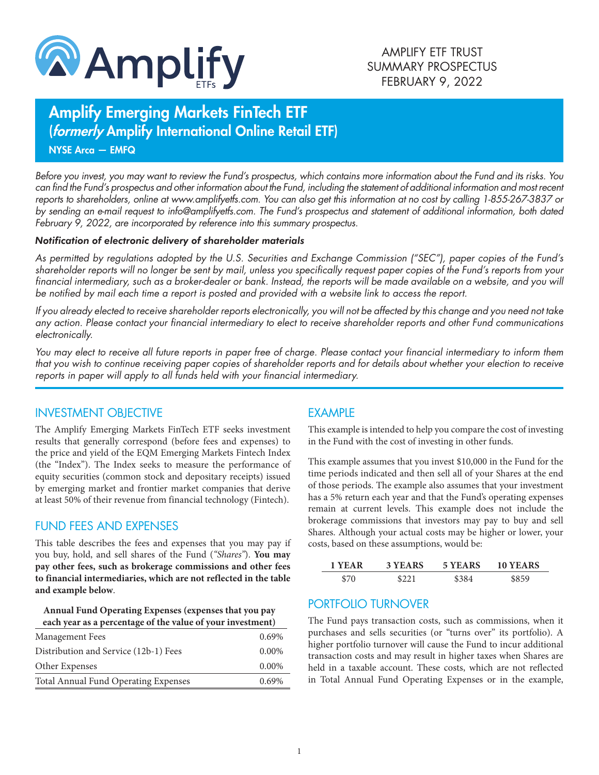

# Amplify Emerging Markets FinTech ETF (formerly Amplify International Online Retail ETF)

NYSE Arca — EMFQ

*Before you invest, you may want to review the Fund's prospectus, which contains more information about the Fund and its risks. You can find the Fund's prospectus and other information about the Fund, including the statement of additional information and most recent reports to shareholders, online at www.amplifyetfs.com. You can also get this information at no cost by calling 1-855-267-3837 or by sending an e-mail request to info@amplifyetfs.com. The Fund's prospectus and statement of additional information, both dated February 9, 2022, are incorporated by reference into this summary prospectus.*

#### *Notification of electronic delivery of shareholder materials*

*As permitted by regulations adopted by the U.S. Securities and Exchange Commission ("SEC"), paper copies of the Fund's shareholder reports will no longer be sent by mail, unless you specifically request paper copies of the Fund's reports from your financial intermediary, such as a broker-dealer or bank. Instead, the reports will be made available on a website, and you will be notified by mail each time a report is posted and provided with a website link to access the report.*

*If you already elected to receive shareholder reports electronically, you will not be affected by this change and you need not take any action. Please contact your financial intermediary to elect to receive shareholder reports and other Fund communications electronically.*

*You may elect to receive all future reports in paper free of charge. Please contact your financial intermediary to inform them that you wish to continue receiving paper copies of shareholder reports and for details about whether your election to receive reports in paper will apply to all funds held with your financial intermediary.*

#### INVESTMENT OBJECTIVE

The Amplify Emerging Markets FinTech ETF seeks investment results that generally correspond (before fees and expenses) to the price and yield of the EQM Emerging Markets Fintech Index (the "Index"). The Index seeks to measure the performance of equity securities (common stock and depositary receipts) issued by emerging market and frontier market companies that derive at least 50% of their revenue from financial technology (Fintech).

## FUND FEES AND EXPENSES

This table describes the fees and expenses that you may pay if you buy, hold, and sell shares of the Fund (*"Shares"*). **You may pay other fees, such as brokerage commissions and other fees to financial intermediaries, which are not reflected in the table and example below**.

| Annual Fund Operating Expenses (expenses that you pay      |
|------------------------------------------------------------|
| each year as a percentage of the value of your investment) |

| Management Fees                       | $0.69\%$ |
|---------------------------------------|----------|
| Distribution and Service (12b-1) Fees | $0.00\%$ |
| Other Expenses                        | $0.00\%$ |
| Total Annual Fund Operating Expenses  | 0.69%    |
|                                       |          |

## EXAMPLE

This example is intended to help you compare the cost of investing in the Fund with the cost of investing in other funds.

This example assumes that you invest \$10,000 in the Fund for the time periods indicated and then sell all of your Shares at the end of those periods. The example also assumes that your investment has a 5% return each year and that the Fund's operating expenses remain at current levels. This example does not include the brokerage commissions that investors may pay to buy and sell Shares. Although your actual costs may be higher or lower, your costs, based on these assumptions, would be:

| 1 YEAR | 3 YEARS | 5 YEARS | 10 YEARS |
|--------|---------|---------|----------|
| \$70   | \$221   |         | \$859    |

# PORTFOLIO TURNOVER

The Fund pays transaction costs, such as commissions, when it purchases and sells securities (or "turns over" its portfolio). A higher portfolio turnover will cause the Fund to incur additional transaction costs and may result in higher taxes when Shares are held in a taxable account. These costs, which are not reflected in Total Annual Fund Operating Expenses or in the example,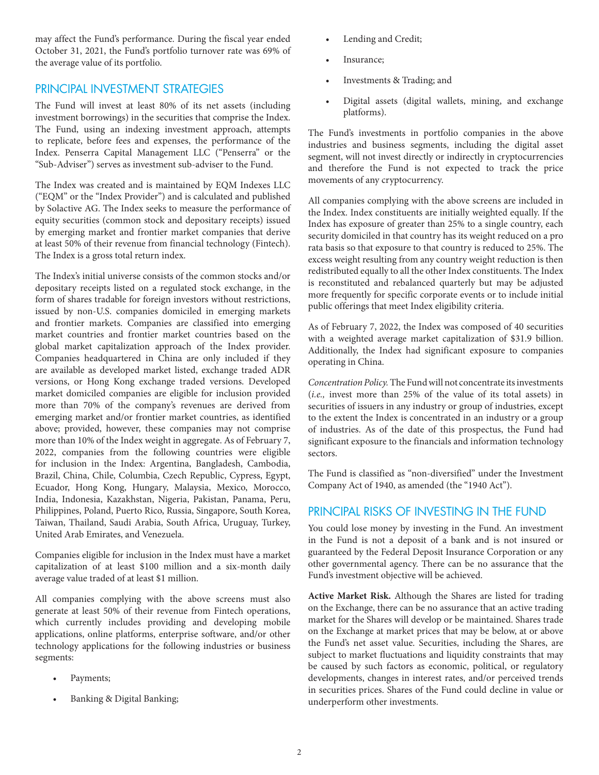may affect the Fund's performance. During the fiscal year ended October 31, 2021, the Fund's portfolio turnover rate was 69% of the average value of its portfolio.

### PRINCIPAL INVESTMENT STRATEGIES

The Fund will invest at least 80% of its net assets (including investment borrowings) in the securities that comprise the Index. The Fund, using an indexing investment approach, attempts to replicate, before fees and expenses, the performance of the Index. Penserra Capital Management LLC ("Penserra" or the "Sub-Adviser") serves as investment sub-adviser to the Fund.

The Index was created and is maintained by EQM Indexes LLC ("EQM" or the "Index Provider") and is calculated and published by Solactive AG. The Index seeks to measure the performance of equity securities (common stock and depositary receipts) issued by emerging market and frontier market companies that derive at least 50% of their revenue from financial technology (Fintech). The Index is a gross total return index.

The Index's initial universe consists of the common stocks and/or depositary receipts listed on a regulated stock exchange, in the form of shares tradable for foreign investors without restrictions, issued by non-U.S. companies domiciled in emerging markets and frontier markets. Companies are classified into emerging market countries and frontier market countries based on the global market capitalization approach of the Index provider. Companies headquartered in China are only included if they are available as developed market listed, exchange traded ADR versions, or Hong Kong exchange traded versions. Developed market domiciled companies are eligible for inclusion provided more than 70% of the company's revenues are derived from emerging market and/or frontier market countries, as identified above; provided, however, these companies may not comprise more than 10% of the Index weight in aggregate. As of February 7, 2022, companies from the following countries were eligible for inclusion in the Index: Argentina, Bangladesh, Cambodia, Brazil, China, Chile, Columbia, Czech Republic, Cypress, Egypt, Ecuador, Hong Kong, Hungary, Malaysia, Mexico, Morocco, India, Indonesia, Kazakhstan, Nigeria, Pakistan, Panama, Peru, Philippines, Poland, Puerto Rico, Russia, Singapore, South Korea, Taiwan, Thailand, Saudi Arabia, South Africa, Uruguay, Turkey, United Arab Emirates, and Venezuela.

Companies eligible for inclusion in the Index must have a market capitalization of at least \$100 million and a six-month daily average value traded of at least \$1 million.

All companies complying with the above screens must also generate at least 50% of their revenue from Fintech operations, which currently includes providing and developing mobile applications, online platforms, enterprise software, and/or other technology applications for the following industries or business segments:

- Payments;
- Banking & Digital Banking;
- Lending and Credit;
- Insurance;
- Investments & Trading; and
- Digital assets (digital wallets, mining, and exchange platforms).

The Fund's investments in portfolio companies in the above industries and business segments, including the digital asset segment, will not invest directly or indirectly in cryptocurrencies and therefore the Fund is not expected to track the price movements of any cryptocurrency.

All companies complying with the above screens are included in the Index. Index constituents are initially weighted equally. If the Index has exposure of greater than 25% to a single country, each security domiciled in that country has its weight reduced on a pro rata basis so that exposure to that country is reduced to 25%. The excess weight resulting from any country weight reduction is then redistributed equally to all the other Index constituents. The Index is reconstituted and rebalanced quarterly but may be adjusted more frequently for specific corporate events or to include initial public offerings that meet Index eligibility criteria.

As of February 7, 2022, the Index was composed of 40 securities with a weighted average market capitalization of \$31.9 billion. Additionally, the Index had significant exposure to companies operating in China.

*Concentration Policy.* The Fund will not concentrate its investments (*i.e.,* invest more than 25% of the value of its total assets) in securities of issuers in any industry or group of industries, except to the extent the Index is concentrated in an industry or a group of industries. As of the date of this prospectus, the Fund had significant exposure to the financials and information technology sectors.

The Fund is classified as "non-diversified" under the Investment Company Act of 1940, as amended (the "1940 Act").

## PRINCIPAL RISKS OF INVESTING IN THE FUND

You could lose money by investing in the Fund. An investment in the Fund is not a deposit of a bank and is not insured or guaranteed by the Federal Deposit Insurance Corporation or any other governmental agency. There can be no assurance that the Fund's investment objective will be achieved.

**Active Market Risk.** Although the Shares are listed for trading on the Exchange, there can be no assurance that an active trading market for the Shares will develop or be maintained. Shares trade on the Exchange at market prices that may be below, at or above the Fund's net asset value. Securities, including the Shares, are subject to market fluctuations and liquidity constraints that may be caused by such factors as economic, political, or regulatory developments, changes in interest rates, and/or perceived trends in securities prices. Shares of the Fund could decline in value or underperform other investments.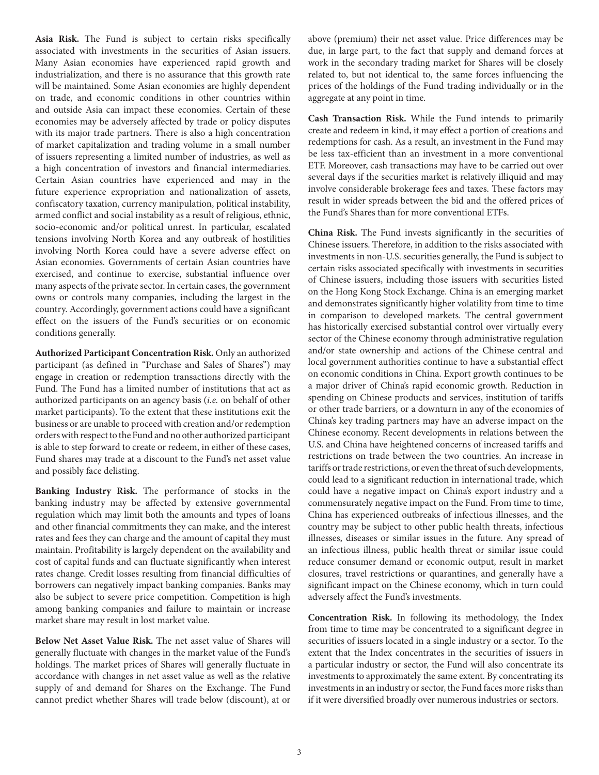**Asia Risk.** The Fund is subject to certain risks specifically associated with investments in the securities of Asian issuers. Many Asian economies have experienced rapid growth and industrialization, and there is no assurance that this growth rate will be maintained. Some Asian economies are highly dependent on trade, and economic conditions in other countries within and outside Asia can impact these economies. Certain of these economies may be adversely affected by trade or policy disputes with its major trade partners. There is also a high concentration of market capitalization and trading volume in a small number of issuers representing a limited number of industries, as well as a high concentration of investors and financial intermediaries. Certain Asian countries have experienced and may in the future experience expropriation and nationalization of assets, confiscatory taxation, currency manipulation, political instability, armed conflict and social instability as a result of religious, ethnic, socio-economic and/or political unrest. In particular, escalated tensions involving North Korea and any outbreak of hostilities involving North Korea could have a severe adverse effect on Asian economies. Governments of certain Asian countries have exercised, and continue to exercise, substantial influence over many aspects of the private sector. In certain cases, the government owns or controls many companies, including the largest in the country. Accordingly, government actions could have a significant effect on the issuers of the Fund's securities or on economic conditions generally.

**Authorized Participant Concentration Risk.** Only an authorized participant (as defined in "Purchase and Sales of Shares") may engage in creation or redemption transactions directly with the Fund. The Fund has a limited number of institutions that act as authorized participants on an agency basis (*i.e.* on behalf of other market participants). To the extent that these institutions exit the business or are unable to proceed with creation and/or redemption orders with respect to the Fund and no other authorized participant is able to step forward to create or redeem, in either of these cases, Fund shares may trade at a discount to the Fund's net asset value and possibly face delisting.

**Banking Industry Risk.** The performance of stocks in the banking industry may be affected by extensive governmental regulation which may limit both the amounts and types of loans and other financial commitments they can make, and the interest rates and fees they can charge and the amount of capital they must maintain. Profitability is largely dependent on the availability and cost of capital funds and can fluctuate significantly when interest rates change. Credit losses resulting from financial difficulties of borrowers can negatively impact banking companies. Banks may also be subject to severe price competition. Competition is high among banking companies and failure to maintain or increase market share may result in lost market value.

**Below Net Asset Value Risk.** The net asset value of Shares will generally fluctuate with changes in the market value of the Fund's holdings. The market prices of Shares will generally fluctuate in accordance with changes in net asset value as well as the relative supply of and demand for Shares on the Exchange. The Fund cannot predict whether Shares will trade below (discount), at or

above (premium) their net asset value. Price differences may be due, in large part, to the fact that supply and demand forces at work in the secondary trading market for Shares will be closely related to, but not identical to, the same forces influencing the prices of the holdings of the Fund trading individually or in the aggregate at any point in time.

**Cash Transaction Risk.** While the Fund intends to primarily create and redeem in kind, it may effect a portion of creations and redemptions for cash. As a result, an investment in the Fund may be less tax-efficient than an investment in a more conventional ETF. Moreover, cash transactions may have to be carried out over several days if the securities market is relatively illiquid and may involve considerable brokerage fees and taxes. These factors may result in wider spreads between the bid and the offered prices of the Fund's Shares than for more conventional ETFs.

**China Risk.** The Fund invests significantly in the securities of Chinese issuers. Therefore, in addition to the risks associated with investments in non-U.S. securities generally, the Fund is subject to certain risks associated specifically with investments in securities of Chinese issuers, including those issuers with securities listed on the Hong Kong Stock Exchange. China is an emerging market and demonstrates significantly higher volatility from time to time in comparison to developed markets. The central government has historically exercised substantial control over virtually every sector of the Chinese economy through administrative regulation and/or state ownership and actions of the Chinese central and local government authorities continue to have a substantial effect on economic conditions in China. Export growth continues to be a major driver of China's rapid economic growth. Reduction in spending on Chinese products and services, institution of tariffs or other trade barriers, or a downturn in any of the economies of China's key trading partners may have an adverse impact on the Chinese economy. Recent developments in relations between the U.S. and China have heightened concerns of increased tariffs and restrictions on trade between the two countries. An increase in tariffs or trade restrictions, or even the threat of such developments, could lead to a significant reduction in international trade, which could have a negative impact on China's export industry and a commensurately negative impact on the Fund. From time to time, China has experienced outbreaks of infectious illnesses, and the country may be subject to other public health threats, infectious illnesses, diseases or similar issues in the future. Any spread of an infectious illness, public health threat or similar issue could reduce consumer demand or economic output, result in market closures, travel restrictions or quarantines, and generally have a significant impact on the Chinese economy, which in turn could adversely affect the Fund's investments.

**Concentration Risk.** In following its methodology, the Index from time to time may be concentrated to a significant degree in securities of issuers located in a single industry or a sector. To the extent that the Index concentrates in the securities of issuers in a particular industry or sector, the Fund will also concentrate its investments to approximately the same extent. By concentrating its investments in an industry or sector, the Fund faces more risks than if it were diversified broadly over numerous industries or sectors.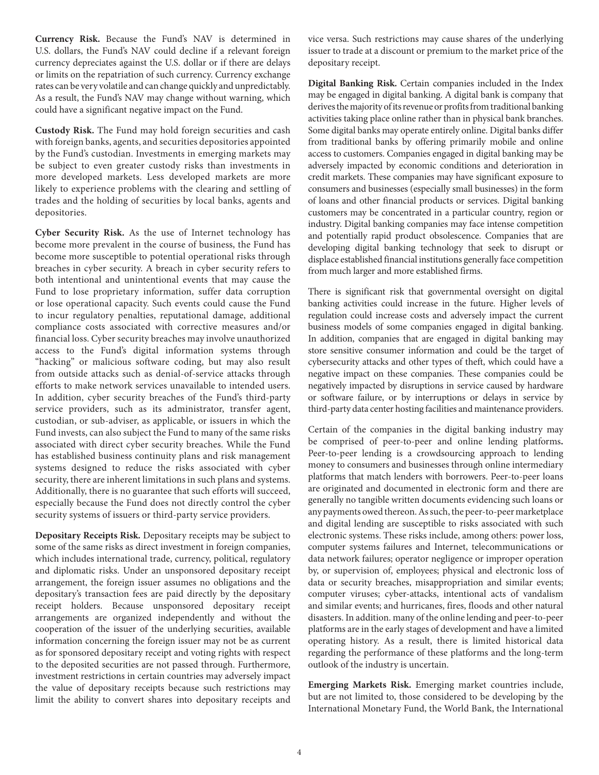**Currency Risk.** Because the Fund's NAV is determined in U.S. dollars, the Fund's NAV could decline if a relevant foreign currency depreciates against the U.S. dollar or if there are delays or limits on the repatriation of such currency. Currency exchange rates can be very volatile and can change quickly and unpredictably. As a result, the Fund's NAV may change without warning, which could have a significant negative impact on the Fund.

**Custody Risk.** The Fund may hold foreign securities and cash with foreign banks, agents, and securities depositories appointed by the Fund's custodian. Investments in emerging markets may be subject to even greater custody risks than investments in more developed markets. Less developed markets are more likely to experience problems with the clearing and settling of trades and the holding of securities by local banks, agents and depositories.

**Cyber Security Risk.** As the use of Internet technology has become more prevalent in the course of business, the Fund has become more susceptible to potential operational risks through breaches in cyber security. A breach in cyber security refers to both intentional and unintentional events that may cause the Fund to lose proprietary information, suffer data corruption or lose operational capacity. Such events could cause the Fund to incur regulatory penalties, reputational damage, additional compliance costs associated with corrective measures and/or financial loss. Cyber security breaches may involve unauthorized access to the Fund's digital information systems through "hacking" or malicious software coding, but may also result from outside attacks such as denial-of-service attacks through efforts to make network services unavailable to intended users. In addition, cyber security breaches of the Fund's third-party service providers, such as its administrator, transfer agent, custodian, or sub-adviser, as applicable, or issuers in which the Fund invests, can also subject the Fund to many of the same risks associated with direct cyber security breaches. While the Fund has established business continuity plans and risk management systems designed to reduce the risks associated with cyber security, there are inherent limitations in such plans and systems. Additionally, there is no guarantee that such efforts will succeed, especially because the Fund does not directly control the cyber security systems of issuers or third-party service providers.

**Depositary Receipts Risk.** Depositary receipts may be subject to some of the same risks as direct investment in foreign companies, which includes international trade, currency, political, regulatory and diplomatic risks. Under an unsponsored depositary receipt arrangement, the foreign issuer assumes no obligations and the depositary's transaction fees are paid directly by the depositary receipt holders. Because unsponsored depositary receipt arrangements are organized independently and without the cooperation of the issuer of the underlying securities, available information concerning the foreign issuer may not be as current as for sponsored depositary receipt and voting rights with respect to the deposited securities are not passed through. Furthermore, investment restrictions in certain countries may adversely impact the value of depositary receipts because such restrictions may limit the ability to convert shares into depositary receipts and

vice versa. Such restrictions may cause shares of the underlying issuer to trade at a discount or premium to the market price of the depositary receipt.

**Digital Banking Risk.** Certain companies included in the Index may be engaged in digital banking. A digital bank is company that derives the majority of its revenue or profits from traditional banking activities taking place online rather than in physical bank branches. Some digital banks may operate entirely online. Digital banks differ from traditional banks by offering primarily mobile and online access to customers. Companies engaged in digital banking may be adversely impacted by economic conditions and deterioration in credit markets. These companies may have significant exposure to consumers and businesses (especially small businesses) in the form of loans and other financial products or services. Digital banking customers may be concentrated in a particular country, region or industry. Digital banking companies may face intense competition and potentially rapid product obsolescence. Companies that are developing digital banking technology that seek to disrupt or displace established financial institutions generally face competition from much larger and more established firms.

There is significant risk that governmental oversight on digital banking activities could increase in the future. Higher levels of regulation could increase costs and adversely impact the current business models of some companies engaged in digital banking. In addition, companies that are engaged in digital banking may store sensitive consumer information and could be the target of cybersecurity attacks and other types of theft, which could have a negative impact on these companies. These companies could be negatively impacted by disruptions in service caused by hardware or software failure, or by interruptions or delays in service by third-party data center hosting facilities and maintenance providers.

Certain of the companies in the digital banking industry may be comprised of peer-to-peer and online lending platforms**.** Peer-to-peer lending is a crowdsourcing approach to lending money to consumers and businesses through online intermediary platforms that match lenders with borrowers. Peer-to-peer loans are originated and documented in electronic form and there are generally no tangible written documents evidencing such loans or any payments owed thereon. As such, the peer-to-peer marketplace and digital lending are susceptible to risks associated with such electronic systems. These risks include, among others: power loss, computer systems failures and Internet, telecommunications or data network failures; operator negligence or improper operation by, or supervision of, employees; physical and electronic loss of data or security breaches, misappropriation and similar events; computer viruses; cyber-attacks, intentional acts of vandalism and similar events; and hurricanes, fires, floods and other natural disasters. In addition. many of the online lending and peer-to-peer platforms are in the early stages of development and have a limited operating history. As a result, there is limited historical data regarding the performance of these platforms and the long-term outlook of the industry is uncertain.

**Emerging Markets Risk.** Emerging market countries include, but are not limited to, those considered to be developing by the International Monetary Fund, the World Bank, the International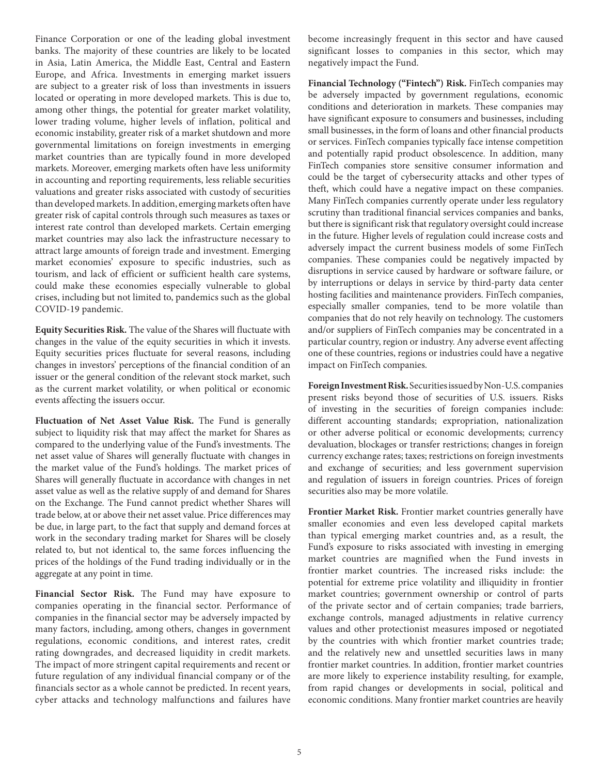Finance Corporation or one of the leading global investment banks. The majority of these countries are likely to be located in Asia, Latin America, the Middle East, Central and Eastern Europe, and Africa. Investments in emerging market issuers are subject to a greater risk of loss than investments in issuers located or operating in more developed markets. This is due to, among other things, the potential for greater market volatility, lower trading volume, higher levels of inflation, political and economic instability, greater risk of a market shutdown and more governmental limitations on foreign investments in emerging market countries than are typically found in more developed markets. Moreover, emerging markets often have less uniformity in accounting and reporting requirements, less reliable securities valuations and greater risks associated with custody of securities than developed markets. In addition, emerging markets often have greater risk of capital controls through such measures as taxes or interest rate control than developed markets. Certain emerging market countries may also lack the infrastructure necessary to attract large amounts of foreign trade and investment. Emerging market economies' exposure to specific industries, such as tourism, and lack of efficient or sufficient health care systems, could make these economies especially vulnerable to global crises, including but not limited to, pandemics such as the global COVID-19 pandemic.

**Equity Securities Risk.** The value of the Shares will fluctuate with changes in the value of the equity securities in which it invests. Equity securities prices fluctuate for several reasons, including changes in investors' perceptions of the financial condition of an issuer or the general condition of the relevant stock market, such as the current market volatility, or when political or economic events affecting the issuers occur.

**Fluctuation of Net Asset Value Risk.** The Fund is generally subject to liquidity risk that may affect the market for Shares as compared to the underlying value of the Fund's investments. The net asset value of Shares will generally fluctuate with changes in the market value of the Fund's holdings. The market prices of Shares will generally fluctuate in accordance with changes in net asset value as well as the relative supply of and demand for Shares on the Exchange. The Fund cannot predict whether Shares will trade below, at or above their net asset value. Price differences may be due, in large part, to the fact that supply and demand forces at work in the secondary trading market for Shares will be closely related to, but not identical to, the same forces influencing the prices of the holdings of the Fund trading individually or in the aggregate at any point in time.

**Financial Sector Risk.** The Fund may have exposure to companies operating in the financial sector. Performance of companies in the financial sector may be adversely impacted by many factors, including, among others, changes in government regulations, economic conditions, and interest rates, credit rating downgrades, and decreased liquidity in credit markets. The impact of more stringent capital requirements and recent or future regulation of any individual financial company or of the financials sector as a whole cannot be predicted. In recent years, cyber attacks and technology malfunctions and failures have

become increasingly frequent in this sector and have caused significant losses to companies in this sector, which may negatively impact the Fund.

**Financial Technology ("Fintech") Risk.** FinTech companies may be adversely impacted by government regulations, economic conditions and deterioration in markets. These companies may have significant exposure to consumers and businesses, including small businesses, in the form of loans and other financial products or services. FinTech companies typically face intense competition and potentially rapid product obsolescence. In addition, many FinTech companies store sensitive consumer information and could be the target of cybersecurity attacks and other types of theft, which could have a negative impact on these companies. Many FinTech companies currently operate under less regulatory scrutiny than traditional financial services companies and banks, but there is significant risk that regulatory oversight could increase in the future. Higher levels of regulation could increase costs and adversely impact the current business models of some FinTech companies. These companies could be negatively impacted by disruptions in service caused by hardware or software failure, or by interruptions or delays in service by third-party data center hosting facilities and maintenance providers. FinTech companies, especially smaller companies, tend to be more volatile than companies that do not rely heavily on technology. The customers and/or suppliers of FinTech companies may be concentrated in a particular country, region or industry. Any adverse event affecting one of these countries, regions or industries could have a negative impact on FinTech companies.

**Foreign Investment Risk.** Securities issued by Non-U.S. companies present risks beyond those of securities of U.S. issuers. Risks of investing in the securities of foreign companies include: different accounting standards; expropriation, nationalization or other adverse political or economic developments; currency devaluation, blockages or transfer restrictions; changes in foreign currency exchange rates; taxes; restrictions on foreign investments and exchange of securities; and less government supervision and regulation of issuers in foreign countries. Prices of foreign securities also may be more volatile.

**Frontier Market Risk.** Frontier market countries generally have smaller economies and even less developed capital markets than typical emerging market countries and, as a result, the Fund's exposure to risks associated with investing in emerging market countries are magnified when the Fund invests in frontier market countries. The increased risks include: the potential for extreme price volatility and illiquidity in frontier market countries; government ownership or control of parts of the private sector and of certain companies; trade barriers, exchange controls, managed adjustments in relative currency values and other protectionist measures imposed or negotiated by the countries with which frontier market countries trade; and the relatively new and unsettled securities laws in many frontier market countries. In addition, frontier market countries are more likely to experience instability resulting, for example, from rapid changes or developments in social, political and economic conditions. Many frontier market countries are heavily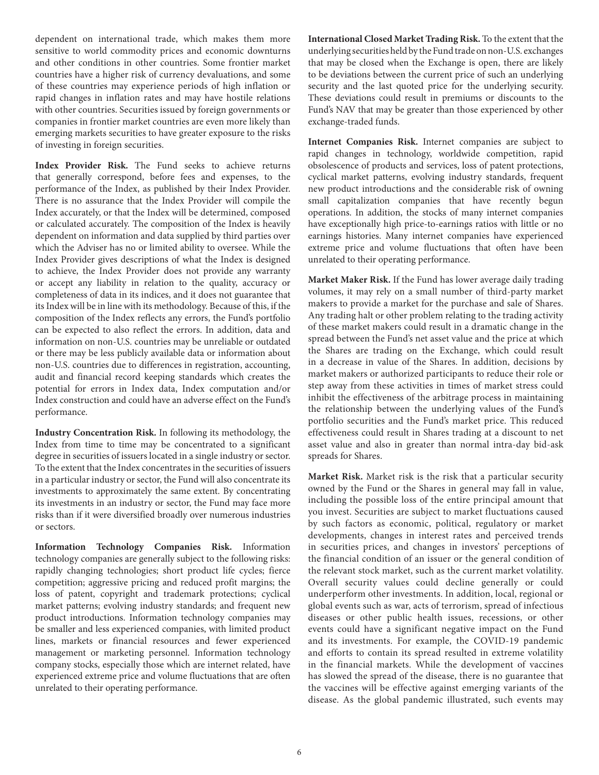dependent on international trade, which makes them more sensitive to world commodity prices and economic downturns and other conditions in other countries. Some frontier market countries have a higher risk of currency devaluations, and some of these countries may experience periods of high inflation or rapid changes in inflation rates and may have hostile relations with other countries. Securities issued by foreign governments or companies in frontier market countries are even more likely than emerging markets securities to have greater exposure to the risks of investing in foreign securities.

**Index Provider Risk.** The Fund seeks to achieve returns that generally correspond, before fees and expenses, to the performance of the Index, as published by their Index Provider. There is no assurance that the Index Provider will compile the Index accurately, or that the Index will be determined, composed or calculated accurately. The composition of the Index is heavily dependent on information and data supplied by third parties over which the Adviser has no or limited ability to oversee. While the Index Provider gives descriptions of what the Index is designed to achieve, the Index Provider does not provide any warranty or accept any liability in relation to the quality, accuracy or completeness of data in its indices, and it does not guarantee that its Index will be in line with its methodology. Because of this, if the composition of the Index reflects any errors, the Fund's portfolio can be expected to also reflect the errors. In addition, data and information on non-U.S. countries may be unreliable or outdated or there may be less publicly available data or information about non-U.S. countries due to differences in registration, accounting, audit and financial record keeping standards which creates the potential for errors in Index data, Index computation and/or Index construction and could have an adverse effect on the Fund's performance.

**Industry Concentration Risk.** In following its methodology, the Index from time to time may be concentrated to a significant degree in securities of issuers located in a single industry or sector. To the extent that the Index concentrates in the securities of issuers in a particular industry or sector, the Fund will also concentrate its investments to approximately the same extent. By concentrating its investments in an industry or sector, the Fund may face more risks than if it were diversified broadly over numerous industries or sectors.

**Information Technology Companies Risk.** Information technology companies are generally subject to the following risks: rapidly changing technologies; short product life cycles; fierce competition; aggressive pricing and reduced profit margins; the loss of patent, copyright and trademark protections; cyclical market patterns; evolving industry standards; and frequent new product introductions. Information technology companies may be smaller and less experienced companies, with limited product lines, markets or financial resources and fewer experienced management or marketing personnel. Information technology company stocks, especially those which are internet related, have experienced extreme price and volume fluctuations that are often unrelated to their operating performance.

**International Closed Market Trading Risk.** To the extent that the underlying securities held by the Fund trade on non-U.S. exchanges that may be closed when the Exchange is open, there are likely to be deviations between the current price of such an underlying security and the last quoted price for the underlying security. These deviations could result in premiums or discounts to the Fund's NAV that may be greater than those experienced by other exchange-traded funds.

**Internet Companies Risk.** Internet companies are subject to rapid changes in technology, worldwide competition, rapid obsolescence of products and services, loss of patent protections, cyclical market patterns, evolving industry standards, frequent new product introductions and the considerable risk of owning small capitalization companies that have recently begun operations. In addition, the stocks of many internet companies have exceptionally high price-to-earnings ratios with little or no earnings histories. Many internet companies have experienced extreme price and volume fluctuations that often have been unrelated to their operating performance.

**Market Maker Risk.** If the Fund has lower average daily trading volumes, it may rely on a small number of third-party market makers to provide a market for the purchase and sale of Shares. Any trading halt or other problem relating to the trading activity of these market makers could result in a dramatic change in the spread between the Fund's net asset value and the price at which the Shares are trading on the Exchange, which could result in a decrease in value of the Shares. In addition, decisions by market makers or authorized participants to reduce their role or step away from these activities in times of market stress could inhibit the effectiveness of the arbitrage process in maintaining the relationship between the underlying values of the Fund's portfolio securities and the Fund's market price. This reduced effectiveness could result in Shares trading at a discount to net asset value and also in greater than normal intra-day bid-ask spreads for Shares.

**Market Risk.** Market risk is the risk that a particular security owned by the Fund or the Shares in general may fall in value, including the possible loss of the entire principal amount that you invest. Securities are subject to market fluctuations caused by such factors as economic, political, regulatory or market developments, changes in interest rates and perceived trends in securities prices, and changes in investors' perceptions of the financial condition of an issuer or the general condition of the relevant stock market, such as the current market volatility. Overall security values could decline generally or could underperform other investments. In addition, local, regional or global events such as war, acts of terrorism, spread of infectious diseases or other public health issues, recessions, or other events could have a significant negative impact on the Fund and its investments. For example, the COVID-19 pandemic and efforts to contain its spread resulted in extreme volatility in the financial markets. While the development of vaccines has slowed the spread of the disease, there is no guarantee that the vaccines will be effective against emerging variants of the disease. As the global pandemic illustrated, such events may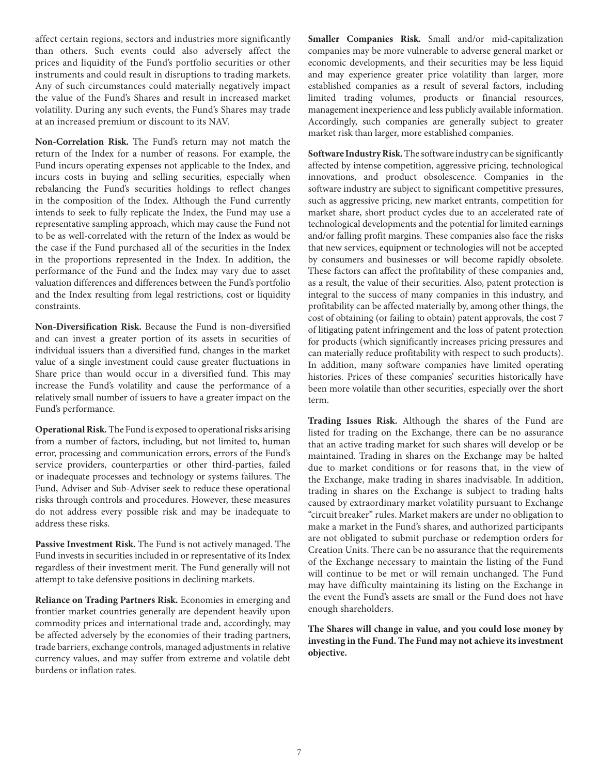affect certain regions, sectors and industries more significantly than others. Such events could also adversely affect the prices and liquidity of the Fund's portfolio securities or other instruments and could result in disruptions to trading markets. Any of such circumstances could materially negatively impact the value of the Fund's Shares and result in increased market volatility. During any such events, the Fund's Shares may trade at an increased premium or discount to its NAV.

**Non-Correlation Risk.** The Fund's return may not match the return of the Index for a number of reasons. For example, the Fund incurs operating expenses not applicable to the Index, and incurs costs in buying and selling securities, especially when rebalancing the Fund's securities holdings to reflect changes in the composition of the Index. Although the Fund currently intends to seek to fully replicate the Index, the Fund may use a representative sampling approach, which may cause the Fund not to be as well-correlated with the return of the Index as would be the case if the Fund purchased all of the securities in the Index in the proportions represented in the Index. In addition, the performance of the Fund and the Index may vary due to asset valuation differences and differences between the Fund's portfolio and the Index resulting from legal restrictions, cost or liquidity constraints.

**Non-Diversification Risk.** Because the Fund is non-diversified and can invest a greater portion of its assets in securities of individual issuers than a diversified fund, changes in the market value of a single investment could cause greater fluctuations in Share price than would occur in a diversified fund. This may increase the Fund's volatility and cause the performance of a relatively small number of issuers to have a greater impact on the Fund's performance.

**Operational Risk.** The Fund is exposed to operational risks arising from a number of factors, including, but not limited to, human error, processing and communication errors, errors of the Fund's service providers, counterparties or other third-parties, failed or inadequate processes and technology or systems failures. The Fund, Adviser and Sub-Adviser seek to reduce these operational risks through controls and procedures. However, these measures do not address every possible risk and may be inadequate to address these risks.

**Passive Investment Risk.** The Fund is not actively managed. The Fund invests in securities included in or representative of its Index regardless of their investment merit. The Fund generally will not attempt to take defensive positions in declining markets.

**Reliance on Trading Partners Risk.** Economies in emerging and frontier market countries generally are dependent heavily upon commodity prices and international trade and, accordingly, may be affected adversely by the economies of their trading partners, trade barriers, exchange controls, managed adjustments in relative currency values, and may suffer from extreme and volatile debt burdens or inflation rates.

**Smaller Companies Risk.** Small and/or mid-capitalization companies may be more vulnerable to adverse general market or economic developments, and their securities may be less liquid and may experience greater price volatility than larger, more established companies as a result of several factors, including limited trading volumes, products or financial resources, management inexperience and less publicly available information. Accordingly, such companies are generally subject to greater market risk than larger, more established companies.

**Software Industry Risk.** The software industry can be significantly affected by intense competition, aggressive pricing, technological innovations, and product obsolescence. Companies in the software industry are subject to significant competitive pressures, such as aggressive pricing, new market entrants, competition for market share, short product cycles due to an accelerated rate of technological developments and the potential for limited earnings and/or falling profit margins. These companies also face the risks that new services, equipment or technologies will not be accepted by consumers and businesses or will become rapidly obsolete. These factors can affect the profitability of these companies and, as a result, the value of their securities. Also, patent protection is integral to the success of many companies in this industry, and profitability can be affected materially by, among other things, the cost of obtaining (or failing to obtain) patent approvals, the cost 7 of litigating patent infringement and the loss of patent protection for products (which significantly increases pricing pressures and can materially reduce profitability with respect to such products). In addition, many software companies have limited operating histories. Prices of these companies' securities historically have been more volatile than other securities, especially over the short term.

**Trading Issues Risk.** Although the shares of the Fund are listed for trading on the Exchange, there can be no assurance that an active trading market for such shares will develop or be maintained. Trading in shares on the Exchange may be halted due to market conditions or for reasons that, in the view of the Exchange, make trading in shares inadvisable. In addition, trading in shares on the Exchange is subject to trading halts caused by extraordinary market volatility pursuant to Exchange "circuit breaker" rules. Market makers are under no obligation to make a market in the Fund's shares, and authorized participants are not obligated to submit purchase or redemption orders for Creation Units. There can be no assurance that the requirements of the Exchange necessary to maintain the listing of the Fund will continue to be met or will remain unchanged. The Fund may have difficulty maintaining its listing on the Exchange in the event the Fund's assets are small or the Fund does not have enough shareholders.

**The Shares will change in value, and you could lose money by investing in the Fund. The Fund may not achieve its investment objective.**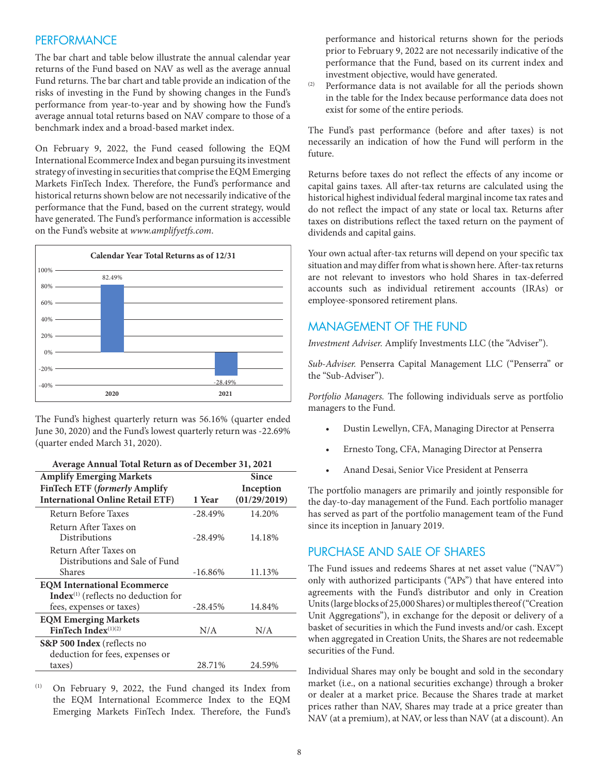### **PERFORMANCE**

The bar chart and table below illustrate the annual calendar year returns of the Fund based on NAV as well as the average annual Fund returns. The bar chart and table provide an indication of the risks of investing in the Fund by showing changes in the Fund's performance from year-to-year and by showing how the Fund's average annual total returns based on NAV compare to those of a benchmark index and a broad-based market index.

On February 9, 2022, the Fund ceased following the EQM International Ecommerce Index and began pursuing its investment strategy of investing in securities that comprise the EQM Emerging Markets FinTech Index. Therefore, the Fund's performance and historical returns shown below are not necessarily indicative of the performance that the Fund, based on the current strategy, would have generated. The Fund's performance information is accessible on the Fund's website at *www.amplifyetfs.com*.



The Fund's highest quarterly return was 56.16% (quarter ended June 30, 2020) and the Fund's lowest quarterly return was -22.69% (quarter ended March 31, 2020).

| Average Annual Total Return as of December 31, 2021 |            |              |  |
|-----------------------------------------------------|------------|--------------|--|
| <b>Amplify Emerging Markets</b>                     |            | Since        |  |
| FinTech ETF (formerly Amplify                       |            | Inception    |  |
| <b>International Online Retail ETF)</b>             | 1 Year     | (01/29/2019) |  |
| Return Before Taxes                                 | $-28.49%$  | 14.20%       |  |
| Return After Taxes on                               |            |              |  |
| <b>Distributions</b>                                | $-28.49%$  | 14.18%       |  |
| Return After Taxes on                               |            |              |  |
| Distributions and Sale of Fund                      |            |              |  |
| Shares                                              | $-16.86\%$ | 11.13%       |  |
| <b>EQM International Ecommerce</b>                  |            |              |  |
| $Index(1)$ (reflects no deduction for               |            |              |  |
| fees, expenses or taxes)                            | $-28.45%$  | 14.84%       |  |
| <b>EQM Emerging Markets</b>                         |            |              |  |
| FinTech Index $(1)(2)$                              | N/A        | N/A          |  |
| <b>S&amp;P 500 Index</b> (reflects no               |            |              |  |
| deduction for fees, expenses or                     |            |              |  |
| taxes)                                              | 28.71%     | 24.59%       |  |

(1) On February 9, 2022, the Fund changed its Index from the EQM International Ecommerce Index to the EQM Emerging Markets FinTech Index. Therefore, the Fund's performance and historical returns shown for the periods prior to February 9, 2022 are not necessarily indicative of the performance that the Fund, based on its current index and investment objective, would have generated.

(2) Performance data is not available for all the periods shown in the table for the Index because performance data does not exist for some of the entire periods.

The Fund's past performance (before and after taxes) is not necessarily an indication of how the Fund will perform in the future.

Returns before taxes do not reflect the effects of any income or capital gains taxes. All after-tax returns are calculated using the historical highest individual federal marginal income tax rates and do not reflect the impact of any state or local tax. Returns after taxes on distributions reflect the taxed return on the payment of dividends and capital gains.

Your own actual after-tax returns will depend on your specific tax situation and may differ from what is shown here. After-tax returns are not relevant to investors who hold Shares in tax-deferred accounts such as individual retirement accounts (IRAs) or employee-sponsored retirement plans.

#### MANAGEMENT OF THE FUND

*Investment Adviser.* Amplify Investments LLC (the "Adviser").

*Sub-Adviser.* Penserra Capital Management LLC ("Penserra" or the "Sub-Adviser").

*Portfolio Managers.* The following individuals serve as portfolio managers to the Fund.

- Dustin Lewellyn, CFA, Managing Director at Penserra
- Ernesto Tong, CFA, Managing Director at Penserra
- Anand Desai, Senior Vice President at Penserra

The portfolio managers are primarily and jointly responsible for the day-to-day management of the Fund. Each portfolio manager has served as part of the portfolio management team of the Fund since its inception in January 2019.

#### PURCHASE AND SALE OF SHARES

The Fund issues and redeems Shares at net asset value ("NAV") only with authorized participants ("APs") that have entered into agreements with the Fund's distributor and only in Creation Units (large blocks of 25,000 Shares) or multiples thereof ("Creation Unit Aggregations"), in exchange for the deposit or delivery of a basket of securities in which the Fund invests and/or cash. Except when aggregated in Creation Units, the Shares are not redeemable securities of the Fund.

Individual Shares may only be bought and sold in the secondary market (i.e., on a national securities exchange) through a broker or dealer at a market price. Because the Shares trade at market prices rather than NAV, Shares may trade at a price greater than NAV (at a premium), at NAV, or less than NAV (at a discount). An